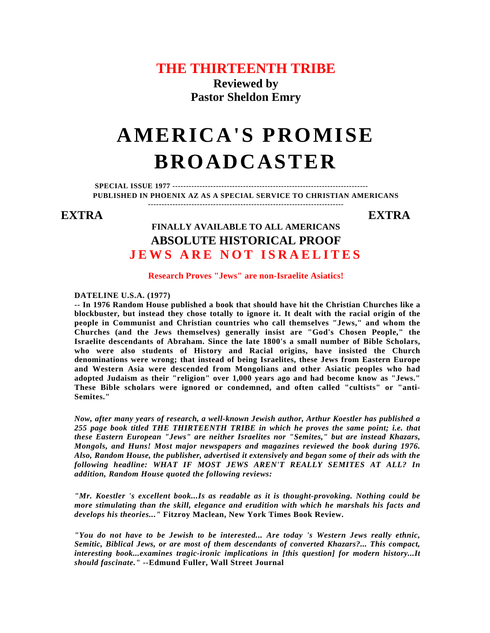# **THE THIRTEENTH TRIBE**

**Reviewed by Pastor Sheldon Emry** 

# **AMERICA'S PROMISE BROADCASTER**

**SPECIAL ISSUE 1977 ------------------------------------------------------------------------ PUBLISHED IN PHOENIX AZ AS A SPECIAL SERVICE TO CHRISTIAN AMERICANS ------------------------------------------------------------------------**

## **EXTRA EXTRA**

# **FINALLY AVAILABLE TO ALL AMERICANS ABSOLUTE HISTORICAL PROOF JEWS ARE NOT ISRAELITES**

#### **Research Proves "Jews" are non-Israelite Asiatics!**

#### **DATELINE U.S.A. (1977)**

**-- In 1976 Random House published a book that should have hit the Christian Churches like a blockbuster, but instead they chose totally to ignore it. It dealt with the racial origin of the people in Communist and Christian countries who call themselves "Jews," and whom the Churches (and the Jews themselves) generally insist are "God's Chosen People," the Israelite descendants of Abraham. Since the late 1800's a small number of Bible Scholars, who were also students of History and Racial origins, have insisted the Church denominations were wrong; that instead of being Israelites, these Jews from Eastern Europe and Western Asia were descended from Mongolians and other Asiatic peoples who had adopted Judaism as their "religion" over 1,000 years ago and had become know as "Jews." These Bible scholars were ignored or condemned, and often called "cultists" or "anti-Semites."** 

*Now, after many years of research, a well-known Jewish author, Arthur Koestler has published a 255 page book titled THE THIRTEENTH TRIBE in which he proves the same point; i.e. that these Eastern European "Jews" are neither Israelites nor "Semites," but are instead Khazars, Mongols, and Huns! Most major newspapers and magazines reviewed the book during 1976. Also, Random House, the publisher, advertised it extensively and began some of their ads with the following headline: WHAT IF MOST JEWS AREN'T REALLY SEMITES AT ALL? In addition, Random House quoted the following reviews:* 

*"Mr. Koestler 's excellent book...Is as readable as it is thought-provoking. Nothing could be more stimulating than the skill, elegance and erudition with which he marshals his facts and develops his theories..."* **Fitzroy Maclean, New York Times Book Review.** 

*"You do not have to be Jewish to be interested... Are today 's Western Jews really ethnic, Semitic, Biblical Jews, or are most of them descendants of converted Khazars?... This compact, interesting book...examines tragic-ironic implications in [this question] for modern history...It should fascinate."* **--Edmund Fuller, Wall Street Journal**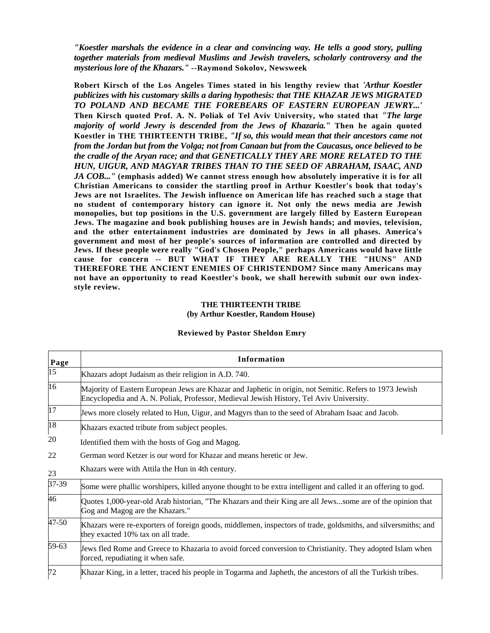*"Koestler marshals the evidence in a clear and convincing way. He tells a good story, pulling together materials from medieval Muslims and Jewish travelers, scholarly controversy and the mysterious lore of the Khazars."* **--Raymond Sokolov, Newsweek** 

**Robert Kirsch of the Los Angeles Times stated in his lengthy review that** *'Arthur Koestler publicizes with his customary skills a daring hypothesis: that THE KHAZAR JEWS MIGRATED TO POLAND AND BECAME THE FOREBEARS OF EASTERN EUROPEAN JEWRY...'*  **Then Kirsch quoted Prof. A. N. Poliak of Tel Aviv University, who stated that** *"The large majority of world Jewry is descended from the Jews of Khazaria."* **Then he again quoted Koestler in THE THIRTEENTH TRIBE,** *"If so, this would mean that their ancestors came not from the Jordan but from the Volga; not from Canaan but from the Caucasus, once believed to be the cradle of the Aryan race; and that GENETICALLY THEY ARE MORE RELATED TO THE HUN, UIGUR, AND MAGYAR TRIBES THAN TO THE SEED OF ABRAHAM, ISAAC, AND JA COB..."* **(emphasis added) We cannot stress enough how absolutely imperative it is for all Christian Americans to consider the startling proof in Arthur Koestler's book that today's Jews are not Israelites. The Jewish influence on American life has reached such a stage that no student of contemporary history can ignore it. Not only the news media are Jewish monopolies, but top positions in the U.S. government are largely filled by Eastern European Jews. The magazine and book publishing houses are in Jewish hands; and movies, television, and the other entertainment industries are dominated by Jews in all phases. America's government and most of her people's sources of information are controlled and directed by Jews. If these people were really "God's Chosen People," perhaps Americans would have little cause for concern -- BUT WHAT IF THEY ARE REALLY THE "HUNS" AND THEREFORE THE ANCIENT ENEMIES OF CHRISTENDOM? Since many Americans may not have an opportunity to read Koestler's book, we shall herewith submit our own indexstyle review.** 

#### **THE THIRTEENTH TRIBE (by Arthur Koestler, Random House)**

| <b>Reviewed by Pastor Sheldon Emry</b> |  |  |
|----------------------------------------|--|--|
|                                        |  |  |

| Page            | Information                                                                                                                                                                                        |  |  |  |
|-----------------|----------------------------------------------------------------------------------------------------------------------------------------------------------------------------------------------------|--|--|--|
| $\overline{15}$ | Khazars adopt Judaism as their religion in A.D. 740.                                                                                                                                               |  |  |  |
| 16              | Majority of Eastern European Jews are Khazar and Japhetic in origin, not Semitic. Refers to 1973 Jewish<br>Encyclopedia and A. N. Poliak, Professor, Medieval Jewish History, Tel Aviv University. |  |  |  |
| 17              | Jews more closely related to Hun, Uigur, and Magyrs than to the seed of Abraham Isaac and Jacob.                                                                                                   |  |  |  |
| 18              | Khazars exacted tribute from subject peoples.                                                                                                                                                      |  |  |  |
| 20              | Identified them with the hosts of Gog and Magog.                                                                                                                                                   |  |  |  |
| 22              | German word Ketzer is our word for Khazar and means heretic or Jew.                                                                                                                                |  |  |  |
| 23              | Khazars were with Attila the Hun in 4th century.                                                                                                                                                   |  |  |  |
| 37-39           | Some were phallic worshipers, killed anyone thought to be extra intelligent and called it an offering to god.                                                                                      |  |  |  |
| 46              | Quotes 1,000-year-old Arab historian, "The Khazars and their King are all Jewssome are of the opinion that<br>Gog and Magog are the Khazars."                                                      |  |  |  |
| 47-50           | Khazars were re-exporters of foreign goods, middlemen, inspectors of trade, goldsmiths, and silversmiths; and<br>they exacted 10% tax on all trade.                                                |  |  |  |
| 59-63           | Jews fled Rome and Greece to Khazaria to avoid forced conversion to Christianity. They adopted Islam when<br>forced, repudiating it when safe.                                                     |  |  |  |
| 72              | Khazar King, in a letter, traced his people in Togarma and Japheth, the ancestors of all the Turkish tribes.                                                                                       |  |  |  |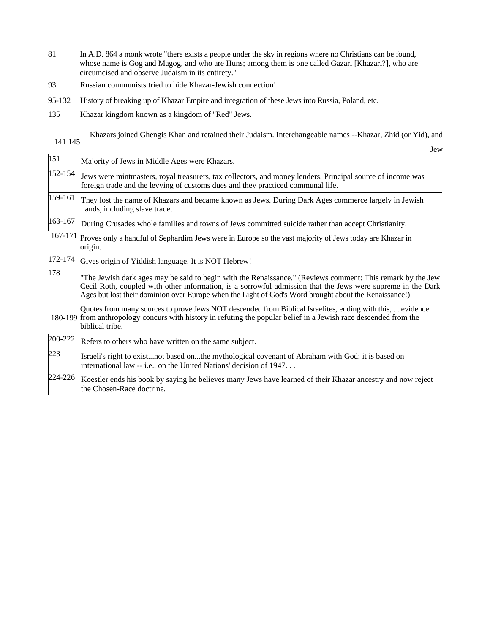- 81 In A.D. 864 a monk wrote "there exists a people under the sky in regions where no Christians can be found, whose name is Gog and Magog, and who are Huns; among them is one called Gazari [Khazari?], who are circumcised and observe Judaism in its entirety."
- 93 Russian communists tried to hide Khazar-Jewish connection!
- 95-132 History of breaking up of Khazar Empire and integration of these Jews into Russia, Poland, etc.
- 135 Khazar kingdom known as a kingdom of "Red" Jews.

141 145 Khazars joined Ghengis Khan and retained their Judaism. Interchangeable names --Khazar, Zhid (or Yid), and

Jew  $151$  Majority of Jews in Middle Ages were Khazars.  $152-154$  Jews were mintmasters, royal treasurers, tax collectors, and money lenders. Principal source of income was foreign trade and the levying of customs dues and they practiced communal life.  $159-161$  They lost the name of Khazars and became known as Jews. During Dark Ages commerce largely in Jewish hands, including slave trade. 163-167 During Crusades whole families and towns of Jews committed suicide rather than accept Christianity. 167-171 Proves only a handful of Sephardim Jews were in Europe so the vast majority of Jews today are Khazar in origin. 172-174 Gives origin of Yiddish language. It is NOT Hebrew! 178 "The Jewish dark ages may be said to begin with the Renaissance." (Reviews comment: This remark by the Jew Cecil Roth, coupled with other information, is a sorrowful admission that the Jews were supreme in the Dark Ages but lost their dominion over Europe when the Light of God's Word brought about the Renaissance!)

180-199 from anthropology concurs with history in refuting the popular belief in a Jewish race descended from the Quotes from many sources to prove Jews NOT descended from Biblical Israelites, ending with this, . ..evidence biblical tribe.

|     | $200-222$ Refers to others who have written on the same subject.                                                                                                        |
|-----|-------------------------------------------------------------------------------------------------------------------------------------------------------------------------|
| 223 | Israeli's right to existnot based onthe mythological covenant of Abraham with God; it is based on<br>international law -- i.e., on the United Nations' decision of 1947 |
|     | $224-226$ Koestler ends his book by saying he believes many Jews have learned of their Khazar ancestry and now reject<br>the Chosen-Race doctrine.                      |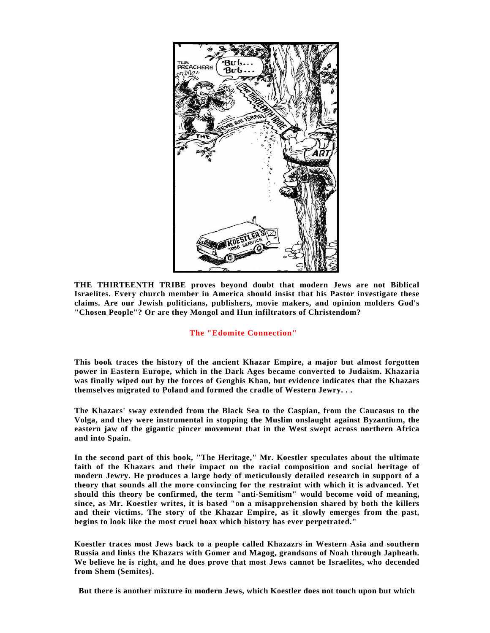

**THE THIRTEENTH TRIBE proves beyond doubt that modern Jews are not Biblical Israelites. Every church member in America should insist that his Pastor investigate these claims. Are our Jewish politicians, publishers, movie makers, and opinion molders God's "Chosen People"? Or are they Mongol and Hun infiltrators of Christendom?** 

#### **The "Edomite Connection"**

**This book traces the history of the ancient Khazar Empire, a major but almost forgotten power in Eastern Europe, which in the Dark Ages became converted to Judaism. Khazaria was finally wiped out by the forces of Genghis Khan, but evidence indicates that the Khazars themselves migrated to Poland and formed the cradle of Western Jewry. . .** 

**The Khazars' sway extended from the Black Sea to the Caspian, from the Caucasus to the Volga, and they were instrumental in stopping the Muslim onslaught against Byzantium, the eastern jaw of the gigantic pincer movement that in the West swept across northern Africa and into Spain.** 

**In the second part of this book, "The Heritage," Mr. Koestler speculates about the ultimate faith of the Khazars and their impact on the racial composition and social heritage of modern Jewry. He produces a large body of meticulously detailed research in support of a theory that sounds all the more convincing for the restraint with which it is advanced. Yet should this theory be confirmed, the term "anti-Semitism" would become void of meaning, since, as Mr. Koestler writes, it is based "on a misapprehension shared by both the killers and their victims. The story of the Khazar Empire, as it slowly emerges from the past, begins to look like the most cruel hoax which history has ever perpetrated."** 

**Koestler traces most Jews back to a people called Khazazrs in Western Asia and southern Russia and links the Khazars with Gomer and Magog, grandsons of Noah through Japheath. We believe he is right, and he does prove that most Jews cannot be Israelites, who decended from Shem (Semites).** 

**But there is another mixture in modern Jews, which Koestler does not touch upon but which**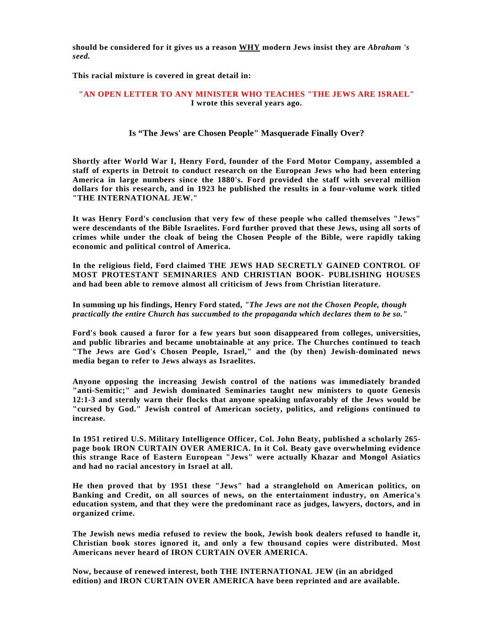**should be considered for it gives us a reason WHY modern Jews insist they are** *Abraham 's seed.* 

**This racial mixture is covered in great detail in:** 

### **"AN OPEN LETTER TO ANY MINISTER WHO TEACHES "THE JEWS ARE ISRAEL" I wrote this several years ago.**

#### **Is "The Jews' are Chosen People" Masquerade Finally Over?**

**Shortly after World War I, Henry Ford, founder of the Ford Motor Company, assembled a staff of experts in Detroit to conduct research on the European Jews who had been entering America in large numbers since the 1880's. Ford provided the staff with several million dollars for this research, and in 1923 he published the results in a four-volume work titled "THE INTERNATIONAL JEW."** 

**It was Henry Ford's conclusion that very few of these people who called themselves "Jews" were descendants of the Bible Israelites. Ford further proved that these Jews, using all sorts of crimes while under the cloak of being the Chosen People of the Bible, were rapidly taking economic and political control of America.** 

**In the religious field, Ford claimed THE JEWS HAD SECRETLY GAINED CONTROL OF MOST PROTESTANT SEMINARIES AND CHRISTIAN BOOK- PUBLISHING HOUSES and had been able to remove almost all criticism of Jews from Christian literature.** 

**In summing up his findings, Henry Ford stated,** *"The Jews are not the Chosen People, though practically the entire Church has succumbed to the propaganda which declares them to be so."* 

**Ford's book caused a furor for a few years but soon disappeared from colleges, universities, and public libraries and became unobtainable at any price. The Churches continued to teach "The Jews are God's Chosen People, Israel," and the (by then) Jewish-dominated news media began to refer to Jews always as Israelites.** 

**Anyone opposing the increasing Jewish control of the nations was immediately branded "anti-Semitic;" and Jewish dominated Seminaries taught new ministers to quote Genesis 12:1-3 and sternly warn their flocks that anyone speaking unfavorably of the Jews would be "cursed by God." Jewish control of American society, politics, and religions continued to increase.** 

**In 1951 retired U.S. Military Intelligence Officer, Col. John Beaty, published a scholarly 265 page book IRON CURTAIN OVER AMERICA. In it Col. Beaty gave overwhelming evidence this strange Race of Eastern European "Jews" were actually Khazar and Mongol Asiatics and had no racial ancestory in Israel at all.** 

**He then proved that by 1951 these "Jews" had a stranglehold on American politics, on Banking and Credit, on all sources of news, on the entertainment industry, on America's education system, and that they were the predominant race as judges, lawyers, doctors, and in organized crime.** 

**The Jewish news media refused to review the book, Jewish book dealers refused to handle it, Christian book stores ignored it, and only a few thousand copies were distributed. Most Americans never heard of IRON CURTAIN OVER AMERICA.** 

**Now, because of renewed interest, both THE INTERNATIONAL JEW (in an abridged edition) and IRON CURTAIN OVER AMERICA have been reprinted and are available.**